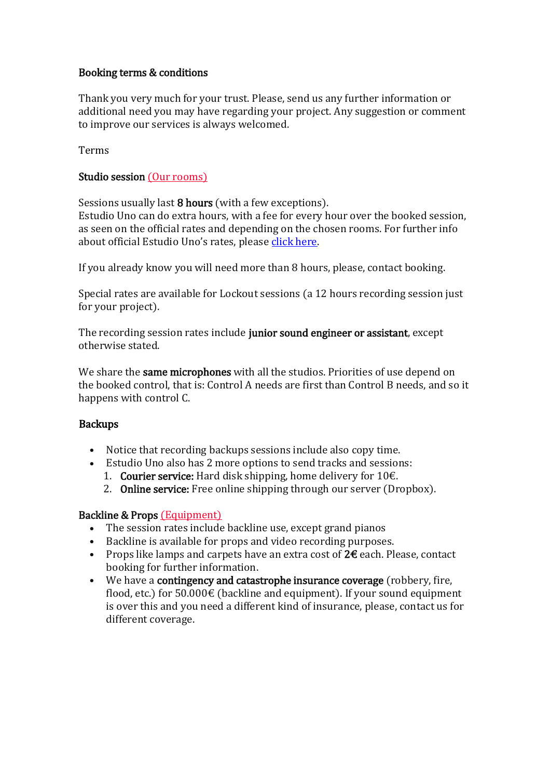#### Booking terms & conditions

Thank you very much for your trust. Please, send us any further information or additional need you may have regarding your project. Any suggestion or comment to improve our services is always welcomed.

Terms

## Studio session (Our [rooms\)](https://estudiouno.info/espacios/)

Sessions usually last 8 hours (with a few exceptions).

Estudio Uno can do extra hours, with a fee for every hour over the booked session, as seen on the official rates and depending on the chosen rooms. For further info about official Estudio Uno's rates, please click [here.](https://estudiouno.info/en/rates/)

If you already know you will need more than 8 hours, please, contact booking.

Special rates are available for Lockout sessions (a 12 hours recording session just for your project).

The recording session rates include junior sound engineer or assistant, except otherwise stated.

We share the same microphones with all the studios. Priorities of use depend on the booked control, that is: Control A needs are first than Control B needs, and so it happens with control C.

## **Backups**

- Notice that recording backups sessions include also copy time.
- Estudio Uno also has 2 more options to send tracks and sessions:
	- 1. **Courier service:** Hard disk shipping, home delivery for  $10€$ .
	- 2. Online service: Free online shipping through our server (Dropbox).

## Backline & Props [\(Equipment\)](https://estudiouno.info/equipamiento/)

- The session rates include backline use, except grand pianos
- Backline is available for props and video recording purposes.
- Props like lamps and carpets have an extra cost of 2€ each. Please, contact booking for further information.
- We have a contingency and catastrophe insurance coverage (robbery, fire, flood, etc.) for  $50.000 \in$  (backline and equipment). If your sound equipment is over this and you need a different kind of insurance, please, contact us for different coverage.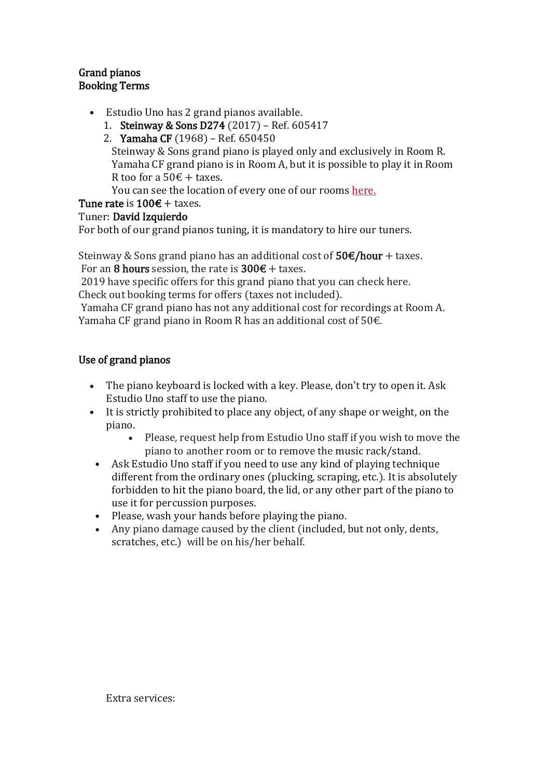#### Grand pianos Booking Terms

- Estudio Uno has 2 grand pianos available.
	- 1. Steinway & Sons D274 (2017) Ref. 605417
	- 2. Yamaha CF (1968) Ref. 650450

Steinway & Sons grand piano is played only and exclusively in Room R. Yamaha CF grand piano is in Room A, but it is possible to play it in Room R too for a 50 $\epsilon$  + taxes.

You can see the location of every one of our rooms [here.](https://estudiouno.info/espacios/)

# Tune rate is  $100 \text{€} + \text{taxes}.$

## Tuner: David Izquierdo

For both of our grand pianos tuning, it is mandatory to hire our tuners.

Steinway & Sons grand piano has an additional cost of  $50\epsilon/h$ our + taxes. For an 8 hours session, the rate is  $300 \text{€} + \text{taxes}$ .

2019 have specific offers for this grand piano that you can check here. Check out booking terms for offers (taxes not included).

Yamaha CF grand piano has not any additional cost for recordings at Room A. Yamaha CF grand piano in Room R has an additional cost of  $50<sup>ε</sup>$ .

# Use of grand pianos

- The piano keyboard is locked with a key. Please, don't try to open it. Ask Estudio Uno staff to use the piano.
- It is strictly prohibited to place any object, of any shape or weight, on the piano.
	- Please, request help from Estudio Uno staff if you wish to move the piano to another room or to remove the music rack/stand.
	- Ask Estudio Uno staff if you need to use any kind of playing technique different from the ordinary ones (plucking, scraping, etc.). It is absolutely forbidden to hit the piano board, the lid, or any other part of the piano to use it for percussion purposes.
- Please, wash your hands before playing the piano.
- Any piano damage caused by the client (included, but not only, dents, scratches, etc.) will be on his/her behalf.

Extra services: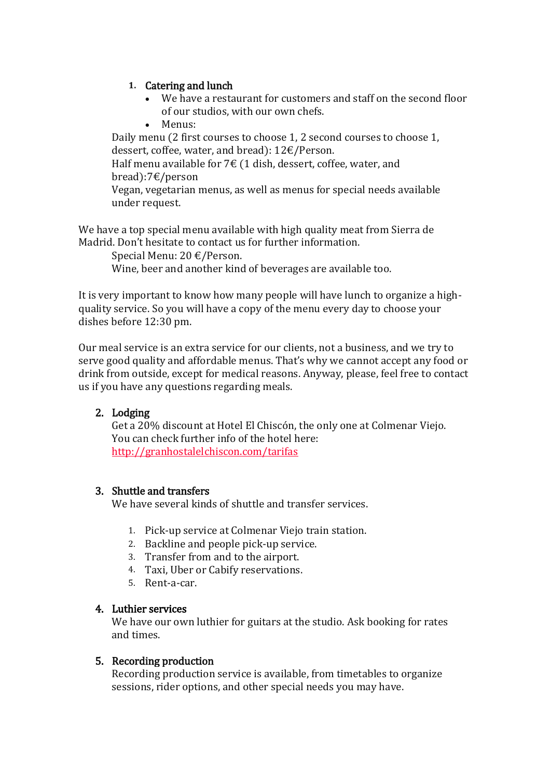#### **1.** Catering and lunch

- We have a restaurant for customers and staff on the second floor of our studios, with our own chefs.
- Menus:

Daily menu (2 first courses to choose 1, 2 second courses to choose 1, dessert, coffee, water, and bread): 12€/Person. Half menu available for  $7 \in (1 \text{ dish}, \text{desert}, \text{cofree}, \text{water}, \text{and})$ 

bread):7€/person

Vegan, vegetarian menus, as well as menus for special needs available under request.

We have a top special menu available with high quality meat from Sierra de Madrid. Don't hesitate to contact us for further information.

Special Menu: 20 €/Person. Wine, beer and another kind of beverages are available too.

It is very important to know how many people will have lunch to organize a highquality service. So you will have a copy of the menu every day to choose your dishes before 12:30 pm.

Our meal service is an extra service for our clients, not a business, and we try to serve good quality and affordable menus. That's why we cannot accept any food or drink from outside, except for medical reasons. Anyway, please, feel free to contact us if you have any questions regarding meals.

# 2. Lodging

Get a 20% discount at Hotel El Chiscón, the only one at Colmenar Viejo. You can check further info of the hotel here: <http://granhostalelchiscon.com/tarifas>

## 3. Shuttle and transfers

We have several kinds of shuttle and transfer services.

- 1. Pick-up service at Colmenar Viejo train station.
- 2. Backline and people pick-up service.
- 3. Transfer from and to the airport.
- 4. Taxi, Uber or Cabify reservations.
- 5. Rent-a-car.

#### 4. Luthier services

We have our own luthier for guitars at the studio. Ask booking for rates and times.

#### 5. Recording production

Recording production service is available, from timetables to organize sessions, rider options, and other special needs you may have.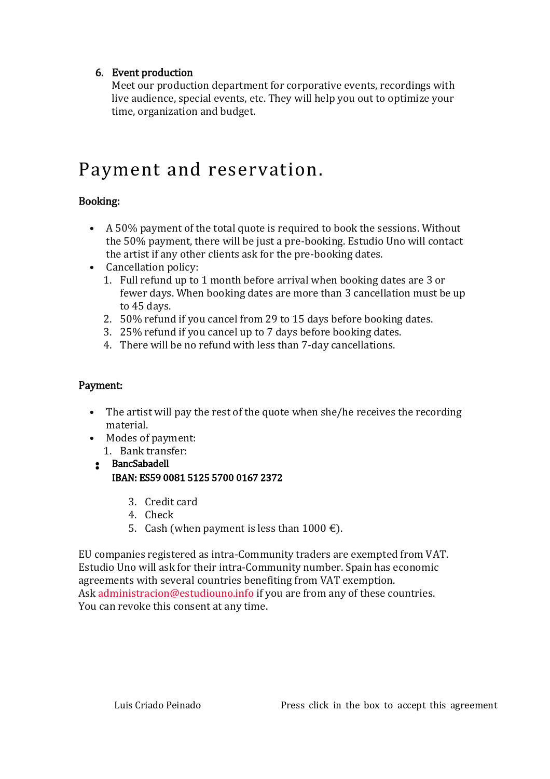## 6. Event production

Meet our production department for corporative events, recordings with live audience, special events, etc. They will help you out to optimize your time, organization and budget.

# Payment and reservation.

# Booking:

- A 50% payment of the total quote is required to book the sessions. Without the 50% payment, there will be just a pre-booking. Estudio Uno will contact the artist if any other clients ask for the pre-booking dates.
- Cancellation policy:
	- 1. Full refund up to 1 month before arrival when booking dates are 3 or fewer days. When booking dates are more than 3 cancellation must be up to 45 days.
	- 2. 50% refund if you cancel from 29 to 15 days before booking dates.
	- 3. 25% refund if you cancel up to 7 days before booking dates.
	- 4. There will be no refund with less than 7-day cancellations.

# Payment:

- The artist will pay the rest of the quote when she/he receives the recording material.
- Modes of payment: 1. Bank transfer:
- BancSabadell IBAN: ES59 0081 5125 5700 0167 2372
	- 3. Credit card
	- 4. Check
	- 5. Cash (when payment is less than  $1000 \in$ ).

EU companies registered as intra-Community traders are exempted from VAT. Estudio Uno will ask for their intra-Community number. Spain has economic agreements with several countries benefiting from VAT exemption. Ask [administracion@estudiouno.info](mailto:administracion@estudiouno.info) if you are from any of these countries. You can revoke this consent at any time.